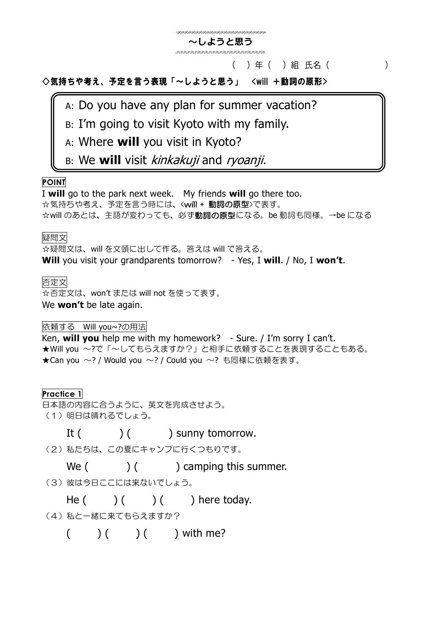#### .<br>The contraction of the contraction of the contraction of the contraction of the contraction of the contract of **~しようと思う**

## ( )年( )組 氏名( )

◇気持ちや考え、予定を言う表現「~しようと思う」 <will +動詞の原形>

A: Do you have any plan for summer vacation?

B: I'm going to visit Kyoto with my family.

A: Where **will** you visit in Kyoto?

B: We **will** visit kinkakuji and ryoanji.

# **POINT**

I **will** go to the park next week. My friends **will** go there too. ☆気持ちや考え、予定を言う時には、<will + 動詞の原型>で表す。 ☆will のあとは、主語が変わっても、必ず動詞の原型になる。be 動詞も同様。→be になる

### 疑問文

☆疑問文は、will を文頭に出して作る。答えは will で答える。

**Will** you visit your grandparents tomorrow? - Yes, I **will**. / No, I **won't**.

## 否定文

☆否定文は、won't または will not を使って表す。 We **won't** be late again.

依頼する Will you~?の用法

Ken, **will you** help me with my homework? - Sure. / I'm sorry I can't. ★Will you ~?で「~してもらえますか?」と相手に依頼することを表現することもある。 ★Can you ~? / Would you ~? / Could you ~? も同様に依頼を表す。

## **Practice 1**

日本語の内容に合うように、英文を完成させよう。

(1) 明日は晴れるでしょう。

It ( ) ( ) sunny tomorrow.

(2) 私たちは、この夏にキャンプに行くつもりです。

We  $($   $)$   $($   $)$  camping this summer.

(3) 彼は今日ここには来ないでしょう。

He  $( )$   $( )$   $( )$  here today.

(4) 私と一緒に来てもらえますか?

 $( ) ( ) ( )$  ( ) with me?